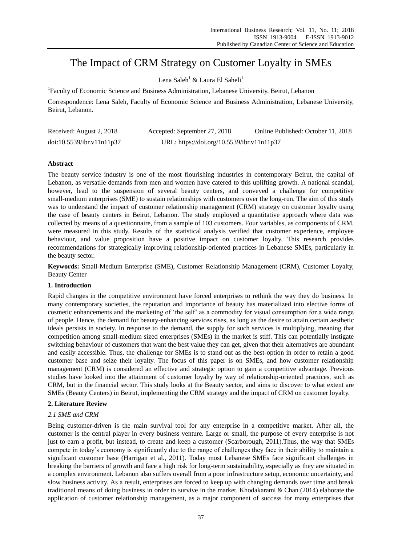# The Impact of CRM Strategy on Customer Loyalty in SMEs

Lena Saleh<sup>1</sup> & Laura El Saheli<sup>1</sup>

<sup>1</sup>Faculty of Economic Science and Business Administration, Lebanese University, Beirut, Lebanon

Correspondence: Lena Saleh, Faculty of Economic Science and Business Administration, Lebanese University, Beirut, Lebanon.

| Received: August 2, 2018  | Accepted: September 27, 2018               | Online Published: October 11, 2018 |
|---------------------------|--------------------------------------------|------------------------------------|
| doi:10.5539/ibr.v11n11p37 | URL: https://doi.org/10.5539/ibr.v11n11p37 |                                    |

# **Abstract**

The beauty service industry is one of the most flourishing industries in contemporary Beirut, the capital of Lebanon, as versatile demands from men and women have catered to this uplifting growth. A national scandal, however, lead to the suspension of several beauty centers, and conveyed a challenge for competitive small-medium enterprises (SME) to sustain relationships with customers over the long-run. The aim of this study was to understand the impact of customer relationship management (CRM) strategy on customer loyalty using the case of beauty centers in Beirut, Lebanon. The study employed a quantitative approach where data was collected by means of a questionnaire, from a sample of 103 customers. Four variables, as components of CRM, were measured in this study. Results of the statistical analysis verified that customer experience, employee behaviour, and value proposition have a positive impact on customer loyalty. This research provides recommendations for strategically improving relationship-oriented practices in Lebanese SMEs, particularly in the beauty sector.

**Keywords:** Small-Medium Enterprise (SME), Customer Relationship Management (CRM), Customer Loyalty, Beauty Center

# **1. Introduction**

Rapid changes in the competitive environment have forced enterprises to rethink the way they do business. In many contemporary societies, the reputation and importance of beauty has materialized into elective forms of cosmetic enhancements and the marketing of "the self" as a commodity for visual consumption for a wide range of people. Hence, the demand for beauty-enhancing services rises, as long as the desire to attain certain aesthetic ideals persists in society. In response to the demand, the supply for such services is multiplying, meaning that competition among small-medium sized enterprises (SMEs) in the market is stiff. This can potentially instigate switching behaviour of customers that want the best value they can get, given that their alternatives are abundant and easily accessible. Thus, the challenge for SMEs is to stand out as the best-option in order to retain a good customer base and seize their loyalty. The focus of this paper is on SMEs, and how customer relationship management (CRM) is considered an effective and strategic option to gain a competitive advantage. Previous studies have looked into the attainment of customer loyalty by way of relationship-oriented practices, such as CRM, but in the financial sector. This study looks at the Beauty sector, and aims to discover to what extent are SMEs (Beauty Centers) in Beirut, implementing the CRM strategy and the impact of CRM on customer loyalty.

# **2. Literature Review**

# *2.1 SME and CRM*

Being customer-driven is the main survival tool for any enterprise in a competitive market. After all, the customer is the central player in every business venture. Large or small, the purpose of every enterprise is not just to earn a profit, but instead, to create and keep a customer (Scarborough, 2011).Thus, the way that SMEs compete in today"s economy is significantly due to the range of challenges they face in their ability to maintain a significant customer base (Harrigan et al., 2011). Today most Lebanese SMEs face significant challenges in breaking the barriers of growth and face a high risk for long-term sustainability, especially as they are situated in a complex environment. Lebanon also suffers overall from a poor infrastructure setup, economic uncertainty, and slow business activity. As a result, enterprises are forced to keep up with changing demands over time and break traditional means of doing business in order to survive in the market. Khodakarami & Chan (2014) elaborate the application of customer relationship management, as a major component of success for many enterprises that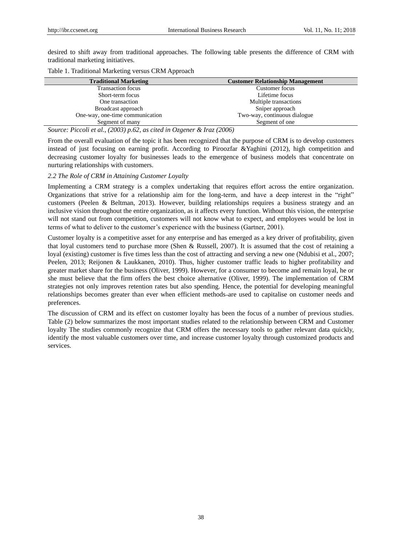desired to shift away from traditional approaches. The following table presents the difference of CRM with traditional marketing initiatives.

|  | Table 1. Traditional Marketing versus CRM Approach |  |
|--|----------------------------------------------------|--|
|--|----------------------------------------------------|--|

| <b>Traditional Marketing</b>                                            | <b>Customer Relationship Management</b> |
|-------------------------------------------------------------------------|-----------------------------------------|
| <b>Transaction focus</b>                                                | Customer focus                          |
| Short-term focus                                                        | Lifetime focus                          |
| One transaction                                                         | Multiple transactions                   |
| Broadcast approach                                                      | Sniper approach                         |
| One-way, one-time communication                                         | Two-way, continuous dialogue            |
| Segment of many                                                         | Segment of one                          |
| $0 \sim 0.5$ $0 \sim 1$ $(0.002) \sim 0.2$ $(0.003) \sim 0.2$ $(0.005)$ |                                         |

*Source: Piccoli et al., (2003) p.62, as cited in Ozgener & Iraz (2006)*

From the overall evaluation of the topic it has been recognized that the purpose of CRM is to develop customers instead of just focusing on earning profit. According to Piroozfar &Yaghini (2012), high competition and decreasing customer loyalty for businesses leads to the emergence of business models that concentrate on nurturing relationships with customers.

# *2.2 The Role of CRM in Attaining Customer Loyalty*

Implementing a CRM strategy is a complex undertaking that requires effort across the entire organization. Organizations that strive for a relationship aim for the long-term, and have a deep interest in the "right" customers (Peelen & Beltman, 2013). However, building relationships requires a business strategy and an inclusive vision throughout the entire organization, as it affects every function. Without this vision, the enterprise will not stand out from competition, customers will not know what to expect, and employees would be lost in terms of what to deliver to the customer's experience with the business (Gartner, 2001).

Customer loyalty is a competitive asset for any enterprise and has emerged as a key driver of profitability, given that loyal customers tend to purchase more (Shen & Russell, 2007). It is assumed that the cost of retaining a loyal (existing) customer is five times less than the cost of attracting and serving a new one (Ndubisi et al., 2007; Peelen, 2013; Reijonen & Laukkanen, 2010). Thus, higher customer traffic leads to higher profitability and greater market share for the business (Oliver, 1999). However, for a consumer to become and remain loyal, he or she must believe that the firm offers the best choice alternative (Oliver, 1999). The implementation of CRM strategies not only improves retention rates but also spending. Hence, the potential for developing meaningful relationships becomes greater than ever when efficient methods are used to capitalise on customer needs and preferences.

The discussion of CRM and its effect on customer loyalty has been the focus of a number of previous studies. Table (2) below summarizes the most important studies related to the relationship between CRM and Customer loyalty The studies commonly recognize that CRM offers the necessary tools to gather relevant data quickly, identify the most valuable customers over time, and increase customer loyalty through customized products and services.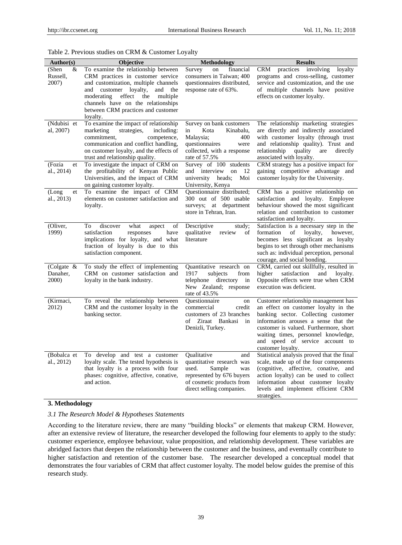|  |  |  |  |  |  |  | Table 2. Previous studies on CRM & Customer Loyalty |  |
|--|--|--|--|--|--|--|-----------------------------------------------------|--|
|--|--|--|--|--|--|--|-----------------------------------------------------|--|

| Author(s)                       | <b>Objective</b>                                                                                                                                                                                                                                                                           | Methodology                                                                                                                                                      | <b>Results</b>                                                                                                                                                                                                                                                                                       |  |  |  |
|---------------------------------|--------------------------------------------------------------------------------------------------------------------------------------------------------------------------------------------------------------------------------------------------------------------------------------------|------------------------------------------------------------------------------------------------------------------------------------------------------------------|------------------------------------------------------------------------------------------------------------------------------------------------------------------------------------------------------------------------------------------------------------------------------------------------------|--|--|--|
| (Shen<br>&<br>Russell,<br>2007) | To examine the relationship between<br>CRM practices in customer service<br>and customization, multiple channels<br>and customer loyalty,<br>and<br>the<br>moderating<br>effect<br>multiple<br>the<br>channels have on the relationships<br>between CRM practices and customer<br>loyalty. | Survey<br>financial<br>on<br>consumers in Taiwan; 400<br>questionnaires distributed,<br>response rate of 63%.                                                    | practices involving<br>CRM<br>loyalty<br>programs and cross-selling, customer<br>service and customization, and the use<br>of multiple channels have positive<br>effects on customer loyalty.                                                                                                        |  |  |  |
| (Ndubisi et<br>al, 2007)        | To examine the impact of relationship<br>marketing<br>strategies,<br>including:<br>commitment,<br>competence,<br>communication and conflict handling,<br>on customer loyalty, and the effects of<br>trust and relationship quality.                                                        | Survey on bank customers<br>Kota<br>Kinabalu,<br>in<br>Malaysia;<br>400<br>questionnaires<br>were<br>collected, with a response<br>rate of 57.5%                 | The relationship marketing strategies<br>are directly and indirectly associated<br>with customer loyalty (through trust<br>and relationship quality). Trust and<br>relationship<br>quality<br>directly<br>are<br>associated with loyalty.                                                            |  |  |  |
| (Fozia<br>et<br>al., 2014)      | To investigate the impact of CRM on<br>the profitability of Kenyan Public<br>Universities, and the impact of CRM<br>on gaining customer loyalty.                                                                                                                                           | Survey of 100 students<br>and interview<br>12<br>on<br>university<br>heads:<br>Moi<br>University, Kenya                                                          | CRM strategy has a positive impact for<br>gaining competitive advantage and<br>customer loyalty for the University.                                                                                                                                                                                  |  |  |  |
| (Long)<br>et<br>al., 2013)      | To examine the impact of CRM<br>elements on customer satisfaction and<br>loyalty.                                                                                                                                                                                                          | Questionnaire distributed;<br>300 out of 500 usable<br>surveys;<br>at department<br>store in Tehran, Iran.                                                       | CRM has a positive relationship on<br>satisfaction and loyalty. Employee<br>behaviour showed the most significant<br>relation and contribution to customer<br>satisfaction and loyalty.                                                                                                              |  |  |  |
| (Oliver,<br>1999)               | To<br>discover<br>what<br>of<br>aspect<br>satisfaction<br>responses<br>have<br>implications for loyalty, and what<br>fraction of loyalty is due to this<br>satisfaction component.                                                                                                         | Descriptive<br>study;<br>qualitative<br>review<br>of<br>literature                                                                                               | Satisfaction is a necessary step in the<br>of<br>loyalty,<br>formation<br>however,<br>becomes less significant as loyalty<br>begins to set through other mechanisms<br>such as: individual perception, personal<br>courage, and social bonding.                                                      |  |  |  |
| (Colgate &<br>Danaher,<br>2000) | To study the effect of implementing<br>CRM on customer satisfaction and<br>loyalty in the bank industry.                                                                                                                                                                                   | Quantitative research on<br>1917<br>subjects<br>from<br>telephone<br>directory<br>in<br>New Zealand; response<br>rate of $43.5%$                                 | CRM, carried out skillfully, resulted in<br>higher<br>satisfaction<br>and<br>lovalty.<br>Opposite effects were true when CRM<br>execution was deficient.                                                                                                                                             |  |  |  |
| (Kirmaci,<br>2012)              | To reveal the relationship between<br>CRM and the customer loyalty in the<br>banking sector.                                                                                                                                                                                               | Ouestionnaire<br>on<br>commercial<br>credit<br>customers of 23 branches<br>of<br>Ziraat Bankasi<br>in<br>Denizli, Turkey.                                        | Customer relationship management has<br>an effect on customer loyalty in the<br>banking sector. Collecting customer<br>information arouses a sense that the<br>customer is valued. Furthermore, short<br>waiting times, personnel knowledge,<br>and speed of service account to<br>customer loyalty. |  |  |  |
| (Bobalca et<br>al., 2012)       | To develop and test a customer<br>loyalty scale. The tested hypothesis is<br>that loyalty is a process with four<br>phases: cognitive, affective, conative,<br>and action.                                                                                                                 | Oualitative<br>and<br>quantitative research was<br>used.<br>Sample<br>was<br>represented by 676 buyers<br>of cosmetic products from<br>direct selling companies. | Statistical analysis proved that the final<br>scale, made up of the four components<br>(cognitive, affective, conative, and<br>action loyalty) can be used to collect<br>information about customer loyalty<br>levels and implement efficient CRM<br>strategies.                                     |  |  |  |

# **3. Methodology**

*3.1 The Research Model & Hypotheses Statements*

According to the literature review, there are many "building blocks" or elements that makeup CRM. However, after an extensive review of literature, the researcher developed the following four elements to apply to the study: customer experience, employee behaviour, value proposition, and relationship development. These variables are abridged factors that deepen the relationship between the customer and the business, and eventually contribute to higher satisfaction and retention of the customer base. The researcher developed a conceptual model that demonstrates the four variables of CRM that affect customer loyalty. The model below guides the premise of this research study.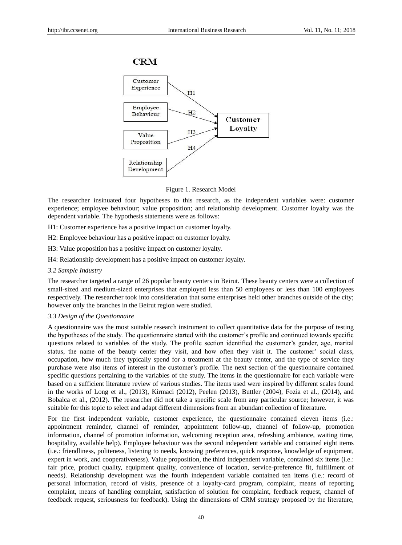



#### Figure 1. Research Model

The researcher insinuated four hypotheses to this research, as the independent variables were: customer experience; employee behaviour; value proposition; and relationship development. Customer loyalty was the dependent variable. The hypothesis statements were as follows:

- H1: Customer experience has a positive impact on customer loyalty.
- H2: Employee behaviour has a positive impact on customer loyalty.
- H3: Value proposition has a positive impact on customer loyalty.
- H4: Relationship development has a positive impact on customer loyalty.
- *3.2 Sample Industry*

The researcher targeted a range of 26 popular beauty centers in Beirut. These beauty centers were a collection of small-sized and medium-sized enterprises that employed less than 50 employees or less than 100 employees respectively. The researcher took into consideration that some enterprises held other branches outside of the city; however only the branches in the Beirut region were studied.

# *3.3 Design of the Questionnaire*

A questionnaire was the most suitable research instrument to collect quantitative data for the purpose of testing the hypotheses of the study. The questionnaire started with the customer"s profile and continued towards specific questions related to variables of the study. The profile section identified the customer"s gender, age, marital status, the name of the beauty center they visit, and how often they visit it. The customer" social class, occupation, how much they typically spend for a treatment at the beauty center, and the type of service they purchase were also items of interest in the customer"s profile. The next section of the questionnaire contained specific questions pertaining to the variables of the study. The items in the questionnaire for each variable were based on a sufficient literature review of various studies. The items used were inspired by different scales found in the works of Long et al., (2013), Kirmaci (2012), Peelen (2013), Buttler (2004), Fozia et al., (2014), and Bobalca et al., (2012). The researcher did not take a specific scale from any particular source; however, it was suitable for this topic to select and adapt different dimensions from an abundant collection of literature.

For the first independent variable, customer experience, the questionnaire contained eleven items (i.e.: appointment reminder, channel of reminder, appointment follow-up, channel of follow-up, promotion information, channel of promotion information, welcoming reception area, refreshing ambiance, waiting time, hospitality, available help). Employee behaviour was the second independent variable and contained eight items (i.e.: friendliness, politeness, listening to needs, knowing preferences, quick response, knowledge of equipment, expert in work, and cooperativeness). Value proposition, the third independent variable, contained six items (i.e.: fair price, product quality, equipment quality, convenience of location, service-preference fit, fulfillment of needs). Relationship development was the fourth independent variable contained ten items (i.e.: record of personal information, record of visits, presence of a loyalty-card program, complaint, means of reporting complaint, means of handling complaint, satisfaction of solution for complaint, feedback request, channel of feedback request, seriousness for feedback). Using the dimensions of CRM strategy proposed by the literature,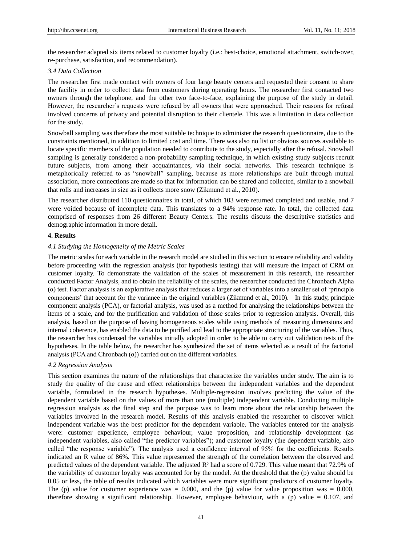the researcher adapted six items related to customer loyalty (i.e.: best-choice, emotional attachment, switch-over, re-purchase, satisfaction, and recommendation).

#### *3.4 Data Collection*

The researcher first made contact with owners of four large beauty centers and requested their consent to share the facility in order to collect data from customers during operating hours. The researcher first contacted two owners through the telephone, and the other two face-to-face, explaining the purpose of the study in detail. However, the researcher"s requests were refused by all owners that were approached. Their reasons for refusal involved concerns of privacy and potential disruption to their clientele. This was a limitation in data collection for the study.

Snowball sampling was therefore the most suitable technique to administer the research questionnaire, due to the constraints mentioned, in addition to limited cost and time. There was also no list or obvious sources available to locate specific members of the population needed to contribute to the study, especially after the refusal. Snowball sampling is generally considered a non-probability sampling technique, in which existing study subjects recruit future subjects, from among their acquaintances, via their social networks. This research technique is metaphorically referred to as "snowball" sampling, because as more relationships are built through mutual association, more connections are made so that for information can be shared and collected, similar to a snowball that rolls and increases in size as it collects more snow (Zikmund et al., 2010).

The researcher distributed 110 questionnaires in total, of which 103 were returned completed and usable, and 7 were voided because of incomplete data. This translates to a 94% response rate. In total, the collected data comprised of responses from 26 different Beauty Centers. The results discuss the descriptive statistics and demographic information in more detail.

# **4. Results**

# *4.1 Studying the Homogeneity of the Metric Scales*

The metric scales for each variable in the research model are studied in this section to ensure reliability and validity before proceeding with the regression analysis (for hypothesis testing) that will measure the impact of CRM on customer loyalty. To demonstrate the validation of the scales of measurement in this research, the researcher conducted Factor Analysis, and to obtain the reliability of the scales, the researcher conducted the Chronbach Alpha (α) test. Factor analysis is an explorative analysis that reduces a larger set of variables into a smaller set of "principle components" that account for the variance in the original variables (Zikmund et al., 2010). In this study, principle component analysis (PCA), or factorial analysis, was used as a method for analysing the relationships between the items of a scale, and for the purification and validation of those scales prior to regression analysis. Overall, this analysis, based on the purpose of having homogeneous scales while using methods of measuring dimensions and internal coherence, has enabled the data to be purified and lead to the appropriate structuring of the variables. Thus, the researcher has condensed the variables initially adopted in order to be able to carry out validation tests of the hypotheses. In the table below, the researcher has synthesized the set of items selected as a result of the factorial analysis (PCA and Chronbach  $(\alpha)$ ) carried out on the different variables.

# *4.2 Regression Analysis*

This section examines the nature of the relationships that characterize the variables under study. The aim is to study the quality of the cause and effect relationships between the independent variables and the dependent variable, formulated in the research hypotheses. Multiple-regression involves predicting the value of the dependent variable based on the values of more than one (multiple) independent variable. Conducting multiple regression analysis as the final step and the purpose was to learn more about the relationship between the variables involved in the research model. Results of this analysis enabled the researcher to discover which independent variable was the best predictor for the dependent variable. The variables entered for the analysis were: customer experience, employee behaviour, value proposition, and relationship development (as independent variables, also called "the predictor variables"); and customer loyalty (the dependent variable, also called "the response variable"). The analysis used a confidence interval of 95% for the coefficients. Results indicated an R value of 86%. This value represented the strength of the correlation between the observed and predicted values of the dependent variable. The adjusted R² had a score of 0.729. This value meant that 72.9% of the variability of customer loyalty was accounted for by the model. At the threshold that the (p) value should be 0.05 or less, the table of results indicated which variables were more significant predictors of customer loyalty. The (p) value for customer experience was  $= 0.000$ , and the (p) value for value proposition was  $= 0.000$ , therefore showing a significant relationship. However, employee behaviour, with a (p) value =  $0.107$ , and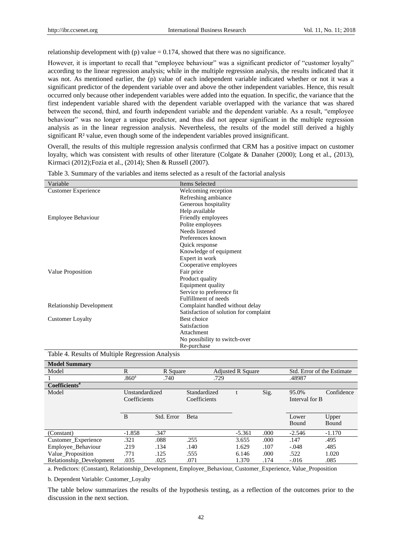relationship development with (p) value  $= 0.174$ , showed that there was no significance.

However, it is important to recall that "employee behaviour" was a significant predictor of "customer loyalty" according to the linear regression analysis; while in the multiple regression analysis, the results indicated that it was not. As mentioned earlier, the (p) value of each independent variable indicated whether or not it was a significant predictor of the dependent variable over and above the other independent variables. Hence, this result occurred only because other independent variables were added into the equation. In specific, the variance that the first independent variable shared with the dependent variable overlapped with the variance that was shared between the second, third, and fourth independent variable and the dependent variable. As a result, "employee behaviour" was no longer a unique predictor, and thus did not appear significant in the multiple regression analysis as in the linear regression analysis. Nevertheless, the results of the model still derived a highly significant R<sup>2</sup> value, even though some of the independent variables proved insignificant.

Overall, the results of this multiple regression analysis confirmed that CRM has a positive impact on customer loyalty, which was consistent with results of other literature (Colgate & Danaher (2000); Long et al., (2013), Kirmaci (2012);Fozia et al., (2014); Shen & Russell (2007).

| Variable                        | <b>Items Selected</b>                  |
|---------------------------------|----------------------------------------|
| <b>Customer Experience</b>      | Welcoming reception                    |
|                                 | Refreshing ambiance                    |
|                                 | Generous hospitality                   |
|                                 | Help available                         |
| <b>Employee Behaviour</b>       | Friendly employees                     |
|                                 | Polite employees                       |
|                                 | Needs listened                         |
|                                 | Preferences known                      |
|                                 | Quick response                         |
|                                 | Knowledge of equipment                 |
|                                 | Expert in work                         |
|                                 | Cooperative employees                  |
| Value Proposition               | Fair price                             |
|                                 | Product quality                        |
|                                 | Equipment quality                      |
|                                 | Service to preference fit              |
|                                 | Fulfillment of needs                   |
| <b>Relationship Development</b> | Complaint handled without delay        |
|                                 | Satisfaction of solution for complaint |
| <b>Customer Loyalty</b>         | Best choice                            |
|                                 | Satisfaction                           |
|                                 | Attachment                             |
|                                 | No possibility to switch-over          |
|                                 | Re-purchase                            |

|  |  |  |  |  |  | Table 3. Summary of the variables and items selected as a result of the factorial analysis |  |  |  |  |
|--|--|--|--|--|--|--------------------------------------------------------------------------------------------|--|--|--|--|
|--|--|--|--|--|--|--------------------------------------------------------------------------------------------|--|--|--|--|

# Table 4. Results of Multiple Regression Analysis

| <b>Model Summary</b>      |                                |            |                              |                          |      |                         |                            |
|---------------------------|--------------------------------|------------|------------------------------|--------------------------|------|-------------------------|----------------------------|
| Model                     | R                              | R Square   |                              | <b>Adjusted R Square</b> |      |                         | Std. Error of the Estimate |
|                           | .860 <sup>a</sup>              | .740       | .729                         |                          |      | .48987                  |                            |
| Coefficients <sup>a</sup> |                                |            |                              |                          |      |                         |                            |
| Model                     | Unstandardized<br>Coefficients |            | Standardized<br>Coefficients |                          | Sig. | 95.0%<br>Interval for B | Confidence                 |
|                           | B                              | Std. Error | Beta                         |                          |      | Lower<br>Bound          | Upper<br>Bound             |
| (Constant)                | $-1.858$                       | .347       |                              | $-5.361$                 | .000 | $-2.546$                | $-1.170$                   |
| Customer_Experience       | .321                           | .088       | .255                         | 3.655                    | .000 | .147                    | .495                       |
| Employee Behaviour        | .219                           | .134       | .140                         | 1.629                    | .107 | $-.048$                 | .485                       |
| Value Proposition         | .771                           | .125       | .555                         | 6.146                    | .000 | .522                    | 1.020                      |
| Relationship_Development  | .035                           | .025       | .071                         | 1.370                    | .174 | $-.016$                 | .085                       |

a. Predictors: (Constant), Relationship\_Development, Employee\_Behaviour, Customer\_Experience, Value\_Proposition

b. Dependent Variable: Customer\_Loyalty

The table below summarizes the results of the hypothesis testing, as a reflection of the outcomes prior to the discussion in the next section.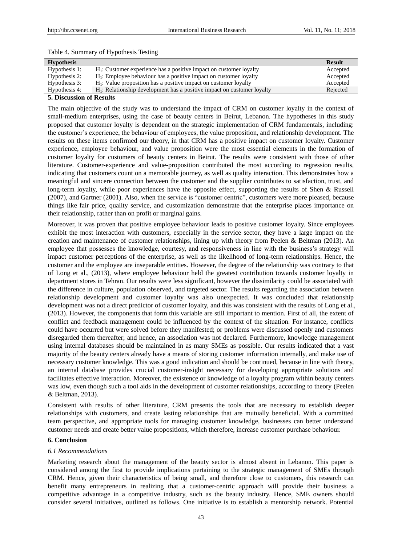# Table 4. Summary of Hypothesis Testing

| <b>Hypothesis</b> |                                                                            | <b>Result</b> |
|-------------------|----------------------------------------------------------------------------|---------------|
| Hypothesis 1:     | $H_1$ : Customer experience has a positive impact on customer loyalty      | Accepted      |
| Hypothesis 2:     | $H_1$ : Employee behaviour has a positive impact on customer loyalty       | Accepted      |
| Hypothesis 3:     | $H_1$ : Value proposition has a positive impact on customer loyalty        | Accepted      |
| Hypothesis 4:     | $H_1$ : Relationship development has a positive impact on customer loyalty | Rejected      |

# **5. Discussion of Results**

The main objective of the study was to understand the impact of CRM on customer loyalty in the context of small-medium enterprises, using the case of beauty centers in Beirut, Lebanon. The hypotheses in this study proposed that customer loyalty is dependent on the strategic implementation of CRM fundamentals, including: the customer"s experience, the behaviour of employees, the value proposition, and relationship development. The results on these items confirmed our theory, in that CRM has a positive impact on customer loyalty. Customer experience, employee behaviour, and value proposition were the most essential elements in the formation of customer loyalty for customers of beauty centers in Beirut. The results were consistent with those of other literature. Customer-experience and value-proposition contributed the most according to regression results, indicating that customers count on a memorable journey, as well as quality interaction. This demonstrates how a meaningful and sincere connection between the customer and the supplier contributes to satisfaction, trust, and long-term loyalty, while poor experiences have the opposite effect, supporting the results of Shen & Russell (2007), and Gartner (2001). Also, when the service is "customer centric", customers were more pleased, because things like fair price, quality service, and customization demonstrate that the enterprise places importance on their relationship, rather than on profit or marginal gains.

Moreover, it was proven that positive employee behaviour leads to positive customer loyalty. Since employees exhibit the most interaction with customers, especially in the service sector, they have a large impact on the creation and maintenance of customer relationships, lining up with theory from Peelen & Beltman (2013). An employee that possesses the knowledge, courtesy, and responsiveness in line with the business"s strategy will impact customer perceptions of the enterprise, as well as the likelihood of long-term relationships. Hence, the customer and the employee are inseparable entities. However, the degree of the relationship was contrary to that of Long et al., (2013), where employee behaviour held the greatest contribution towards customer loyalty in department stores in Tehran. Our results were less significant, however the dissimilarity could be associated with the difference in culture, population observed, and targeted sector. The results regarding the association between relationship development and customer loyalty was also unexpected. It was concluded that relationship development was not a direct predictor of customer loyalty, and this was consistent with the results of Long et al., (2013). However, the components that form this variable are still important to mention. First of all, the extent of conflict and feedback management could be influenced by the context of the situation. For instance, conflicts could have occurred but were solved before they manifested; or problems were discussed openly and customers disregarded them thereafter; and hence, an association was not declared. Furthermore, knowledge management using internal databases should be maintained in as many SMEs as possible. Our results indicated that a vast majority of the beauty centers already have a means of storing customer information internally, and make use of necessary customer knowledge. This was a good indication and should be continued, because in line with theory, an internal database provides crucial customer-insight necessary for developing appropriate solutions and facilitates effective interaction. Moreover, the existence or knowledge of a loyalty program within beauty centers was low, even though such a tool aids in the development of customer relationships, according to theory (Peelen & Beltman, 2013).

Consistent with results of other literature, CRM presents the tools that are necessary to establish deeper relationships with customers, and create lasting relationships that are mutually beneficial. With a committed team perspective, and appropriate tools for managing customer knowledge, businesses can better understand customer needs and create better value propositions, which therefore, increase customer purchase behaviour.

#### **6. Conclusion**

# *6.1 Recommendations*

Marketing research about the management of the beauty sector is almost absent in Lebanon. This paper is considered among the first to provide implications pertaining to the strategic management of SMEs through CRM. Hence, given their characteristics of being small, and therefore close to customers, this research can benefit many entrepreneurs in realizing that a customer-centric approach will provide their business a competitive advantage in a competitive industry, such as the beauty industry. Hence, SME owners should consider several initiatives, outlined as follows. One initiative is to establish a mentorship network. Potential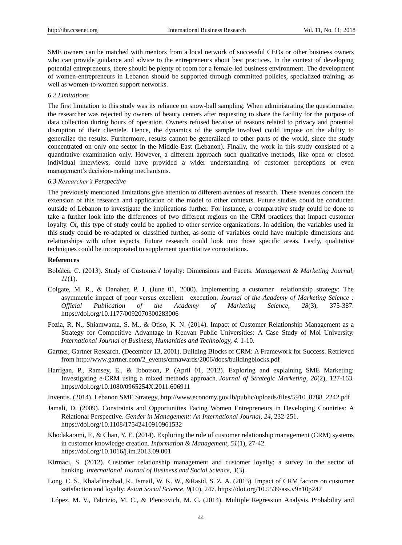SME owners can be matched with mentors from a local network of successful CEOs or other business owners who can provide guidance and advice to the entrepreneurs about best practices. In the context of developing potential entrepreneurs, there should be plenty of room for a female-led business environment. The development of women-entrepreneurs in Lebanon should be supported through committed policies, specialized training, as well as women-to-women support networks.

# *6.2 Limitations*

The first limitation to this study was its reliance on snow-ball sampling. When administrating the questionnaire, the researcher was rejected by owners of beauty centers after requesting to share the facility for the purpose of data collection during hours of operation. Owners refused because of reasons related to privacy and potential disruption of their clientele. Hence, the dynamics of the sample involved could impose on the ability to generalize the results. Furthermore, results cannot be generalized to other parts of the world, since the study concentrated on only one sector in the Middle-East (Lebanon). Finally, the work in this study consisted of a quantitative examination only. However, a different approach such qualitative methods, like open or closed individual interviews, could have provided a wider understanding of customer perceptions or even management"s decision-making mechanisms.

# *6.3 Researcher's Perspective*

The previously mentioned limitations give attention to different avenues of research. These avenues concern the extension of this research and application of the model to other contexts. Future studies could be conducted outside of Lebanon to investigate the implications further. For instance, a comparative study could be done to take a further look into the differences of two different regions on the CRM practices that impact customer loyalty. Or, this type of study could be applied to other service organizations. In addition, the variables used in this study could be re-adapted or classified further, as some of variables could have multiple dimensions and relationships with other aspects. Future research could look into those specific areas. Lastly, qualitative techniques could be incorporated to supplement quantitative connotations.

# **References**

- Bobâlcă, C. (2013). Study of Customers' loyalty: Dimensions and Facets. *Management & Marketing Journal, 11*(1).
- Colgate, M. R., & Danaher, P. J. (June 01, 2000). Implementing a customer relationship strategy: The asymmetric impact of poor versus excellent execution. *Journal of the Academy of Marketing Science : Official Publication of the Academy of Marketing Science, 28*(3), 375-387. https://doi.org/10.1177/0092070300283006
- Fozia, R. N., Shiamwama, S. M., & Otiso, K. N. (2014). Impact of Customer Relationship Management as a Strategy for Competitive Advantage in Kenyan Public Universities: A Case Study of Moi University. *International Journal of Business, Humanities and Technology, 4.* 1-10.
- Gartner, Gartner Research. (December 13, 2001). Building Blocks of CRM: A Framework for Success. Retrieved from [http://www.gartner.com/2\\_events/crmawards/2006/docs/buildingblocks.pdf](http://www.gartner.com/2_events/crmawards/2006/docs/buildingblocks.pdf)
- Harrigan, P., Ramsey, E., & Ibbotson, P. (April 01, 2012). Exploring and explaining SME Marketing: Investigating e-CRM using a mixed methods approach. *Journal of Strategic Marketing, 20*(2), 127-163. https://doi.org/10.1080/0965254X.2011.606911
- Inventis. (2014). Lebanon SME Strategy, http://www.economy.gov.lb/public/uploads/files/5910\_8788\_2242.pdf
- Jamali, D. (2009). Constraints and Opportunities Facing Women Entrepreneurs in Developing Countries: A Relational Perspective. *Gender in Management: An International Journal, 24,* 232-251. https://doi.org/10.1108/17542410910961532
- Khodakarami, F., & Chan, Y. E. (2014). Exploring the role of customer relationship management (CRM) systems in customer knowledge creation. *Information & Management, 51*(1), 27-42. https://doi.org/10.1016/j.im.2013.09.001
- Kirmaci, S. (2012). Customer relationship management and customer loyalty; a survey in the sector of banking. *International Journal of Business and Social Science, 3*(3).
- Long, C. S., Khalafinezhad, R., Ismail, W. K. W., &Rasid, S. Z. A. (2013). Impact of CRM factors on customer satisfaction and loyalty. *Asian Social Science, 9*(10), 247. https://doi.org/10.5539/ass.v9n10p247
- López, M. V., Fabrizio, M. C., & Plencovich, M. C. (2014). Multiple Regression Analysis. Probability and